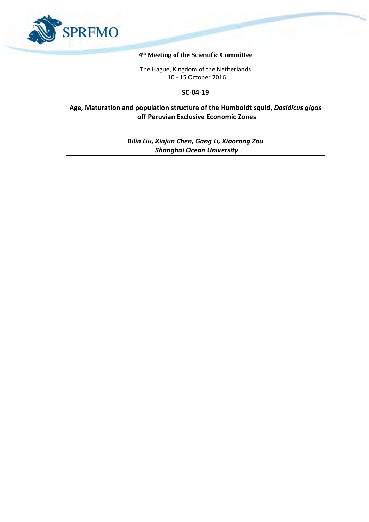

#### **4 th Meeting of the Scientific Committee**

The Hague, Kingdom of the Netherlands 10 - 15 October 2016

**SC-04-19**

**Age, Maturation and population structure of the Humboldt squid,** *Dosidicus gigas* **off Peruvian Exclusive Economic Zones**

> *Bilin Liu, Xinjun Chen, Gang Li, Xiaorong Zou Shanghai Ocean University*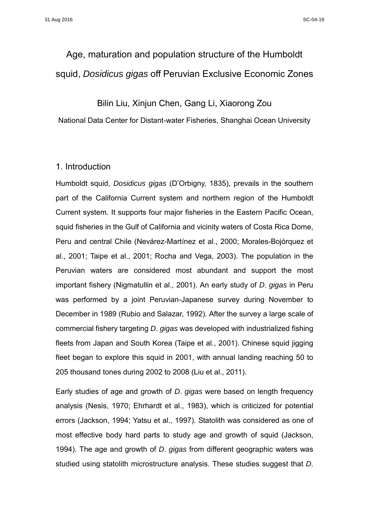# Age, maturation and population structure of the Humboldt squid, *Dosidicus gigas* off Peruvian Exclusive Economic Zones

# Bilin Liu, Xinjun Chen, Gang Li, Xiaorong Zou

National Data Center for Distant-water Fisheries, Shanghai Ocean University

# 1. Introduction

Humboldt squid, *Dosidicus gigas* (D'Orbigny, 1835), prevails in the southern part of the California Current system and northern region of the Humboldt Current system. It supports four major fisheries in the Eastern Pacific Ocean, squid fisheries in the Gulf of California and vicinity waters of Costa Rica Dome, Peru and central Chile (Nevárez-Martínez et al., 2000; Morales-Bojórquez et al., 2001; Taipe et al., 2001; Rocha and Vega, 2003). The population in the Peruvian waters are considered most abundant and support the most important fishery (Nigmatullin et al., 2001). An early study of *D*. *gigas* in Peru was performed by a joint Peruvian-Japanese survey during November to December in 1989 (Rubio and Salazar, 1992). After the survey a large scale of commercial fishery targeting *D*. *gigas* was developed with industrialized fishing fleets from Japan and South Korea (Taipe et al., 2001). Chinese squid jigging fleet began to explore this squid in 2001, with annual landing reaching 50 to 205 thousand tones during 2002 to 2008 (Liu et al., 2011).

Early studies of age and growth of *D*. *gigas* were based on length frequency analysis (Nesis, 1970; Ehrhardt et al., 1983), which is criticized for potential errors (Jackson, 1994; Yatsu et al., 1997). Statolith was considered as one of most effective body hard parts to study age and growth of squid (Jackson, 1994). The age and growth of *D*. *gigas* from different geographic waters was studied using statolith microstructure analysis. These studies suggest that *D*.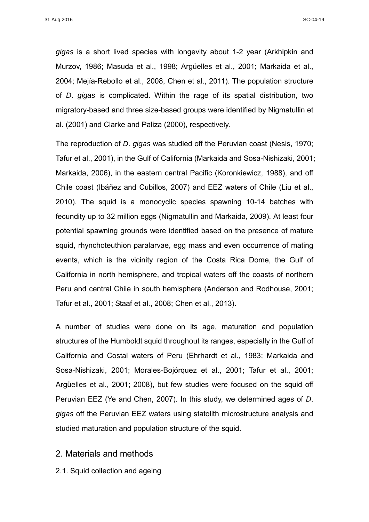*gigas* is a short lived species with longevity about 1-2 year (Arkhipkin and Murzov, 1986; Masuda et al., 1998; Argüelles et al., 2001; Markaida et al., 2004; Mejía-Rebollo et al., 2008, Chen et al., 2011). The population structure of *D*. *gigas* is complicated. Within the rage of its spatial distribution, two migratory-based and three size-based groups were identified by Nigmatullin et al. (2001) and Clarke and Paliza (2000), respectively.

The reproduction of *D*. *gigas* was studied off the Peruvian coast (Nesis, 1970; Tafur et al., 2001), in the Gulf of California (Markaida and Sosa-Nishizaki, 2001; Markaida, 2006), in the eastern central Pacific (Koronkiewicz, 1988), and off Chile coast (Ibáñez and Cubillos, 2007) and EEZ waters of Chile (Liu et al., 2010). The squid is a monocyclic species spawning 10-14 batches with fecundity up to 32 million eggs (Nigmatullin and Markaida, 2009). At least four potential spawning grounds were identified based on the presence of mature squid, rhynchoteuthion paralarvae, egg mass and even occurrence of mating events, which is the vicinity region of the Costa Rica Dome, the Gulf of California in north hemisphere, and tropical waters off the coasts of northern Peru and central Chile in south hemisphere (Anderson and Rodhouse, 2001; Tafur et al., 2001; Staaf et al., 2008; Chen et al., 2013).

A number of studies were done on its age, maturation and population structures of the Humboldt squid throughout its ranges, especially in the Gulf of California and Costal waters of Peru (Ehrhardt et al., 1983; Markaida and Sosa-Nishizaki, 2001; Morales-Bojórquez et al., 2001; Tafur et al., 2001; Argüelles et al., 2001; 2008), but few studies were focused on the squid off Peruvian EEZ (Ye and Chen, 2007). In this study, we determined ages of *D*. *gigas* off the Peruvian EEZ waters using statolith microstructure analysis and studied maturation and population structure of the squid.

## 2. Materials and methods

2.1. Squid collection and ageing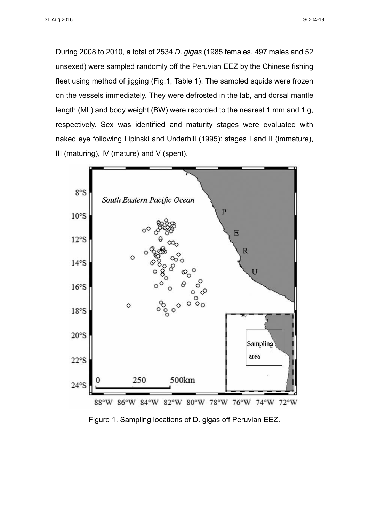During 2008 to 2010, a total of 2534 *D*. *gigas* (1985 females, 497 males and 52 unsexed) were sampled randomly off the Peruvian EEZ by the Chinese fishing fleet using method of jigging (Fig.1; Table 1). The sampled squids were frozen on the vessels immediately. They were defrosted in the lab, and dorsal mantle length (ML) and body weight (BW) were recorded to the nearest 1 mm and 1 g, respectively. Sex was identified and maturity stages were evaluated with naked eye following Lipinski and Underhill (1995): stages I and II (immature), III (maturing), IV (mature) and V (spent).



Figure 1. Sampling locations of D. gigas off Peruvian EEZ.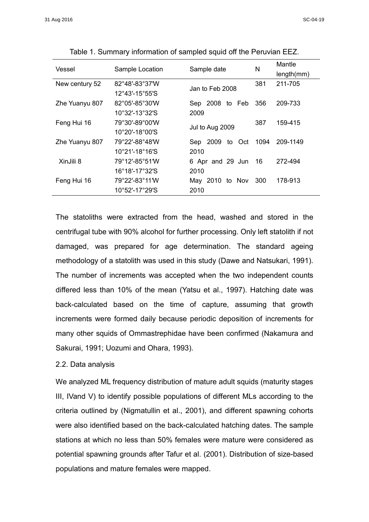| Vessel         | Sample Location                     | Sample date        | N    | Mantle     |
|----------------|-------------------------------------|--------------------|------|------------|
|                |                                     |                    |      | length(mm) |
| New century 52 | 82°48'-83°37'W                      | Jan to Feb 2008    | 381  | 211-705    |
|                | 12°43'-15°55'S                      |                    |      |            |
| Zhe Yuanyu 807 | 82°05'-85°30'W                      | Sep 2008 to Feb    | 356  | 209-733    |
|                | 10°32'-13°32'S                      | 2009               |      |            |
| Feng Hui 16    | 79°30'-89°00'W                      | Jul to Aug 2009    | 387  | 159-415    |
|                | 10°20'-18°00'S                      |                    |      |            |
| Zhe Yuanyu 807 | 79°22′-88°48′W                      | Sep 2009<br>to Oct | 1094 | 209-1149   |
|                | $10^{\circ}21'$ -18 $^{\circ}16'$ S | 2010               |      |            |
| XinJili 8      | 79°12'-85°51'W                      | 6 Apr and 29 Jun   | 16   | 272-494    |
|                | 16°18'-17°32'S                      | 2010               |      |            |
| Feng Hui 16    | 79°22'-83°11W                       | May 2010 to Nov    | 300  | 178-913    |
|                | 10°52'-17°29'S                      | 2010               |      |            |

Table 1. Summary information of sampled squid off the Peruvian EEZ.

The statoliths were extracted from the head, washed and stored in the centrifugal tube with 90% alcohol for further processing. Only left statolith if not damaged, was prepared for age determination. The standard ageing methodology of a statolith was used in this study (Dawe and Natsukari, 1991). The number of increments was accepted when the two independent counts differed less than 10% of the mean (Yatsu et al., 1997). Hatching date was back-calculated based on the time of capture, assuming that growth increments were formed daily because periodic deposition of increments for many other squids of Ommastrephidae have been confirmed (Nakamura and Sakurai, 1991; Uozumi and Ohara, 1993).

#### 2.2. Data analysis

We analyzed ML frequency distribution of mature adult squids (maturity stages III, IVand V) to identify possible populations of different MLs according to the criteria outlined by (Nigmatullin et al., 2001), and different spawning cohorts were also identified based on the back-calculated hatching dates. The sample stations at which no less than 50% females were mature were considered as potential spawning grounds after Tafur et al. (2001). Distribution of size-based populations and mature females were mapped.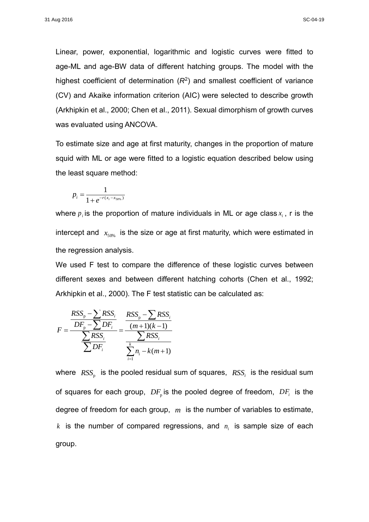Linear, power, exponential, logarithmic and logistic curves were fitted to age-ML and age-BW data of different hatching groups. The model with the highest coefficient of determination (*R*<sup>2</sup> ) and smallest coefficient of variance (CV) and Akaike information criterion (AIC) were selected to describe growth (Arkhipkin et al., 2000; Chen et al., 2011). Sexual dimorphism of growth curves was evaluated using ANCOVA.

To estimate size and age at first maturity, changes in the proportion of mature squid with ML or age were fitted to a logistic equation described below using the least square method:

$$
p_i = \frac{1}{1 + e^{-r(x_i - x_{50\%})}}
$$

where  $p_{_{i}}$ is the proportion of mature individuals in ML or age class $x_{_{i}}$  , r is the intercept and  $\ x_{50\%}$  is the size or age at first maturity, which were estimated in the regression analysis.

We used F test to compare the difference of these logistic curves between different sexes and between different hatching cohorts (Chen et al., 1992; Arkhipkin et al., 2000). The F test statistic can be calculated as:

$$
F = \frac{\frac{RSS_p - \sum RSS_i}{DF_p - \sum DF_i}}{\frac{\sum RSS_i}{\sum DF_i} = \frac{\frac{RSS_p - \sum RSS_i}{(m+1)(k-1)}}{\frac{\sum RSS_i}{\sum_{i=1}^{k} n_i - k(m+1)}}
$$

where  $\ RSS_p^-$  is the pooled residual sum of squares,  $\ RSS_i^-$  is the residual sum of squares for each group,  $\,DF_{\textrm{p}}$  is the pooled degree of freedom,  $\,DF_{i}\,$  is the degree of freedom for each group, *m* is the number of variables to estimate,  $k$  is the number of compared regressions, and  $n_{_i}$  is sample size of each group.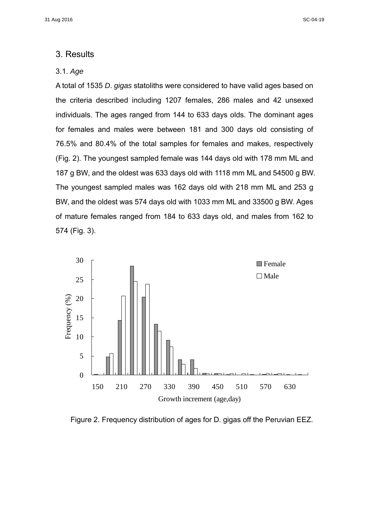## 3. Results

#### 3.1. *Age*

A total of 1535 *D*. *gigas* statoliths were considered to have valid ages based on the criteria described including 1207 females, 286 males and 42 unsexed individuals. The ages ranged from 144 to 633 days olds. The dominant ages for females and males were between 181 and 300 days old consisting of 76.5% and 80.4% of the total samples for females and makes, respectively (Fig. 2). The youngest sampled female was 144 days old with 178 mm ML and 187 g BW, and the oldest was 633 days old with 1118 mm ML and 54500 g BW. The youngest sampled males was 162 days old with 218 mm ML and 253 g BW, and the oldest was 574 days old with 1033 mm ML and 33500 g BW. Ages of mature females ranged from 184 to 633 days old, and males from 162 to 574 (Fig. 3).



Figure 2. Frequency distribution of ages for D. gigas off the Peruvian EEZ.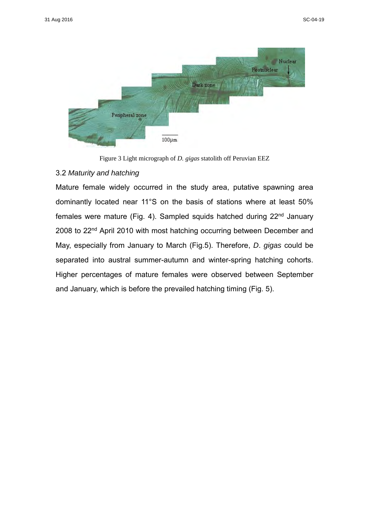

Figure 3 Light micrograph of *D. gigas* statolith off Peruvian EEZ

#### 3.2 *Maturity and hatching*

Mature female widely occurred in the study area, putative spawning area dominantly located near 11°S on the basis of stations where at least 50% females were mature (Fig. 4). Sampled squids hatched during 22nd January 2008 to 22nd April 2010 with most hatching occurring between December and May, especially from January to March (Fig.5). Therefore, *D*. *gigas* could be separated into austral summer-autumn and winter-spring hatching cohorts. Higher percentages of mature females were observed between September and January, which is before the prevailed hatching timing (Fig. 5).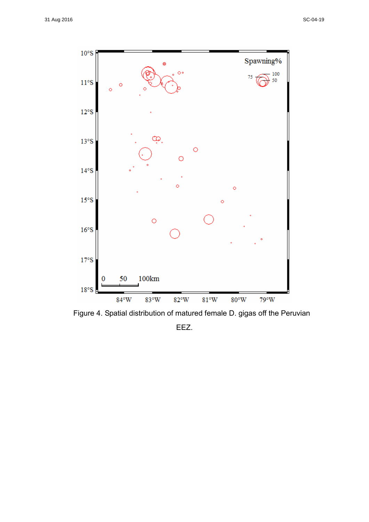

Figure 4. Spatial distribution of matured female D. gigas off the Peruvian EEZ.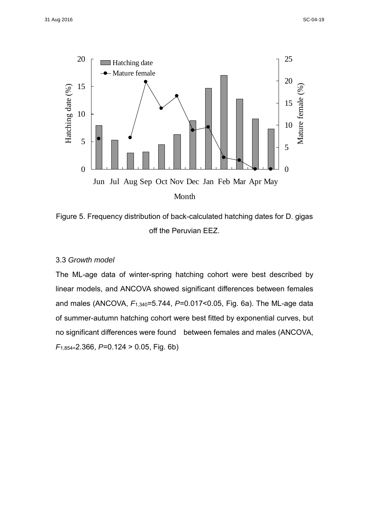

Figure 5. Frequency distribution of back-calculated hatching dates for D. gigas off the Peruvian EEZ.

#### 3.3 *Growth model*

The ML-age data of winter-spring hatching cohort were best described by linear models, and ANCOVA showed significant differences between females and males (ANCOVA, *F*1,340=5.744, *P*=0.017<0.05, Fig. 6a). The ML-age data of summer-autumn hatching cohort were best fitted by exponential curves, but no significant differences were found between females and males (ANCOVA, *F*1,854=2.366, *P*=0.124 > 0.05, Fig. 6b)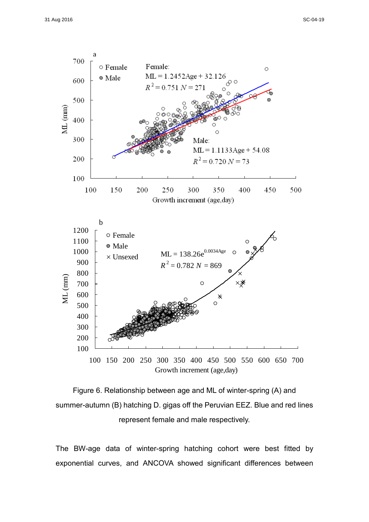



The BW-age data of winter-spring hatching cohort were best fitted by exponential curves, and ANCOVA showed significant differences between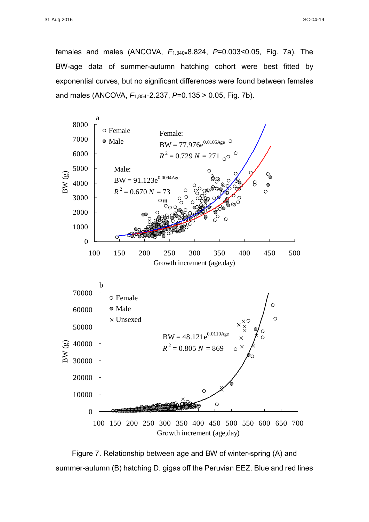females and males (ANCOVA, *F*1,340=8.824, *P*=0.003<0.05, Fig. 7a). The BW-age data of summer-autumn hatching cohort were best fitted by exponential curves, but no significant differences were found between females and males (ANCOVA, *F*1,854=2.237, *P*=0.135 > 0.05, Fig. 7b).



Figure 7. Relationship between age and BW of winter-spring (A) and summer-autumn (B) hatching D. gigas off the Peruvian EEZ. Blue and red lines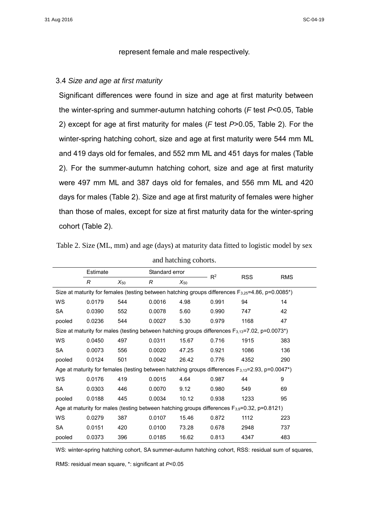#### represent female and male respectively.

#### 3.4 *Size and age at first maturity*

Significant differences were found in size and age at first maturity between the winter-spring and summer-autumn hatching cohorts (*F* test *P*<0.05, Table 2) except for age at first maturity for males (*F* test *P*>0.05, Table 2). For the winter-spring hatching cohort, size and age at first maturity were 544 mm ML and 419 days old for females, and 552 mm ML and 451 days for males (Table 2). For the summer-autumn hatching cohort, size and age at first maturity were 497 mm ML and 387 days old for females, and 556 mm ML and 420 days for males (Table 2). Size and age at first maturity of females were higher than those of males, except for size at first maturity data for the winter-spring cohort (Table 2).

| and hatching cohorts.                                                                                                 |          |          |                |          |       |            |            |  |  |  |
|-----------------------------------------------------------------------------------------------------------------------|----------|----------|----------------|----------|-------|------------|------------|--|--|--|
|                                                                                                                       | Estimate |          | Standard error |          | $R^2$ | <b>RSS</b> | <b>RMS</b> |  |  |  |
|                                                                                                                       | R        | $X_{50}$ | R              | $X_{50}$ |       |            |            |  |  |  |
| Size at maturity for females (testing between hatching groups differences $F_{3,25} = 4.86$ , p=0.0085 <sup>*</sup> ) |          |          |                |          |       |            |            |  |  |  |
| WS                                                                                                                    | 0.0179   | 544      | 0.0016         | 4.98     | 0.991 | 94         | 14         |  |  |  |
| SA                                                                                                                    | 0.0390   | 552      | 0.0078         | 5.60     | 0.990 | 747        | 42         |  |  |  |
| pooled                                                                                                                | 0.0236   | 544      | 0.0027         | 5.30     | 0.979 | 1168       | 47         |  |  |  |
| Size at maturity for males (testing between hatching groups differences $F_{3,13}$ =7.02, p=0.0073*)                  |          |          |                |          |       |            |            |  |  |  |
| <b>WS</b>                                                                                                             | 0.0450   | 497      | 0.0311         | 15.67    | 0.716 | 1915       | 383        |  |  |  |
| SA                                                                                                                    | 0.0073   | 556      | 0.0020         | 47.25    | 0.921 | 1086       | 136        |  |  |  |
| pooled                                                                                                                | 0.0124   | 501      | 0.0042         | 26.42    | 0.776 | 4352       | 290        |  |  |  |
| Age at maturity for females (testing between hatching groups differences $F_{3,13}$ =2.93, p=0.0047*)                 |          |          |                |          |       |            |            |  |  |  |
| WS.                                                                                                                   | 0.0176   | 419      | 0.0015         | 4.64     | 0.987 | 44         | 9          |  |  |  |
| SA                                                                                                                    | 0.0303   | 446      | 0.0070         | 9.12     | 0.980 | 549        | 69         |  |  |  |
| pooled                                                                                                                | 0.0188   | 445      | 0.0034         | 10.12    | 0.938 | 1233       | 95         |  |  |  |
| Age at maturity for males (testing between hatching groups differences F <sub>3,9</sub> =0.32, p=0.8121)              |          |          |                |          |       |            |            |  |  |  |
| WS                                                                                                                    | 0.0279   | 387      | 0.0107         | 15.46    | 0.872 | 1112       | 223        |  |  |  |
| SA                                                                                                                    | 0.0151   | 420      | 0.0100         | 73.28    | 0.678 | 2948       | 737        |  |  |  |
| pooled                                                                                                                | 0.0373   | 396      | 0.0185         | 16.62    | 0.813 | 4347       | 483        |  |  |  |

Table 2. Size (ML, mm) and age (days) at maturity data fitted to logistic model by sex

WS: winter-spring hatching cohort, SA summer-autumn hatching cohort, RSS: residual sum of squares,

RMS: residual mean square, \*: significant at *P*<0.05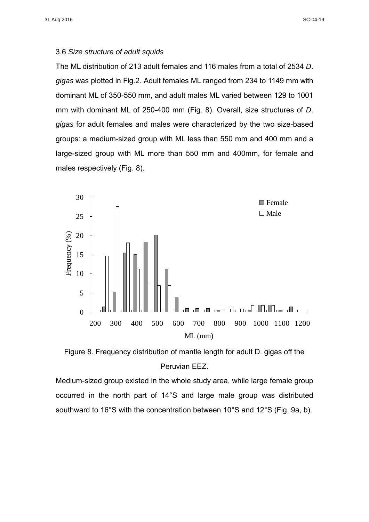#### 3.6 *Size structure of adult squids*

The ML distribution of 213 adult females and 116 males from a total of 2534 *D*. *gigas* was plotted in Fig.2. Adult females ML ranged from 234 to 1149 mm with dominant ML of 350-550 mm, and adult males ML varied between 129 to 1001 mm with dominant ML of 250-400 mm (Fig. 8). Overall, size structures of *D*. *gigas* for adult females and males were characterized by the two size-based groups: a medium-sized group with ML less than 550 mm and 400 mm and a large-sized group with ML more than 550 mm and 400mm, for female and males respectively (Fig. 8).



Figure 8. Frequency distribution of mantle length for adult D. gigas off the Peruvian EEZ.

Medium-sized group existed in the whole study area, while large female group occurred in the north part of 14°S and large male group was distributed southward to 16°S with the concentration between 10°S and 12°S (Fig. 9a, b).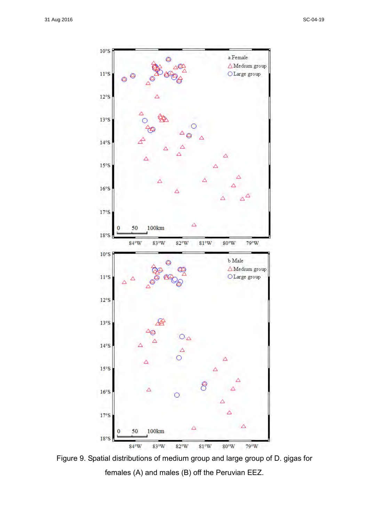

Figure 9. Spatial distributions of medium group and large group of D. gigas for females (A) and males (B) off the Peruvian EEZ.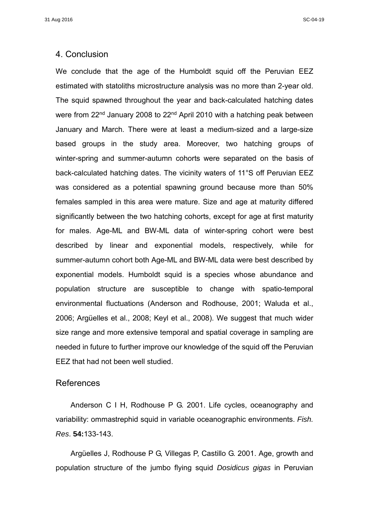## 4. Conclusion

We conclude that the age of the Humboldt squid off the Peruvian EEZ estimated with statoliths microstructure analysis was no more than 2-year old. The squid spawned throughout the year and back-calculated hatching dates were from 22<sup>nd</sup> January 2008 to 22<sup>nd</sup> April 2010 with a hatching peak between January and March. There were at least a medium-sized and a large-size based groups in the study area. Moreover, two hatching groups of winter-spring and summer-autumn cohorts were separated on the basis of back-calculated hatching dates. The vicinity waters of 11°S off Peruvian EEZ was considered as a potential spawning ground because more than 50% females sampled in this area were mature. Size and age at maturity differed significantly between the two hatching cohorts, except for age at first maturity for males. Age-ML and BW-ML data of winter-spring cohort were best described by linear and exponential models, respectively, while for summer-autumn cohort both Age-ML and BW-ML data were best described by exponential models. Humboldt squid is a species whose abundance and population structure are susceptible to change with spatio-temporal environmental fluctuations (Anderson and Rodhouse, 2001; Waluda et al., 2006; Argüelles et al., 2008; Keyl et al., 2008). We suggest that much wider size range and more extensive temporal and spatial coverage in sampling are needed in future to further improve our knowledge of the squid off the Peruvian EEZ that had not been well studied.

## References

 Anderson C I H, Rodhouse P G. 2001. Life cycles, oceanography and variability: ommastrephid squid in variable oceanographic environments. *Fish. Res*. **54:**133-143.

 Argüelles J, Rodhouse P G, Villegas P, Castillo G. 2001. Age, growth and population structure of the jumbo flying squid *Dosidicus gigas* in Peruvian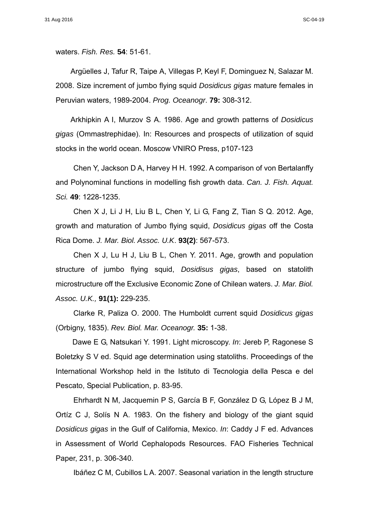waters. *Fish. Res.* **54**: 51-61.

 Argüelles J, Tafur R, Taipe A, Villegas P, Keyl F, Dominguez N, Salazar M. 2008. Size increment of jumbo flying squid *Dosidicus gigas* mature females in Peruvian waters, 1989-2004. *Prog. Oceanogr*. **79:** 308-312.

 Arkhipkin A I, Murzov S A. 1986. Age and growth patterns of *Dosidicus gigas* (Ommastrephidae). In: Resources and prospects of utilization of squid stocks in the world ocean. Moscow VNIRO Press, p107-123

Chen Y, Jackson D A, Harvey H H. 1992. A comparison of von Bertalanffy and Polynominal functions in modelling fish growth data. *Can. J. Fish. Aquat. Sci.* **49**: 1228-1235.

Chen X J, Li J H, Liu B L, Chen Y, Li G, Fang Z, Tian S Q. 2012. Age, growth and maturation of Jumbo flying squid, *Dosidicus gigas* off the Costa Rica Dome. *J. Mar. Biol. Assoc. U.K*. **93(2)**: 567-573.

Chen X J, Lu H J, Liu B L, Chen Y. 2011. Age, growth and population structure of jumbo flying squid, *Dosidisus gigas*, based on statolith microstructure off the Exclusive Economic Zone of Chilean waters. *J. Mar. Biol. Assoc. U.K.,* **91(1):** 229-235.

Clarke R, Paliza O. 2000. The Humboldt current squid *Dosidicus gigas* (Orbigny, 1835). *Rev. Biol. Mar. Oceanogr.* **35:** 1-38.

Dawe E G, Natsukari Y. 1991. Light microscopy. *In*: Jereb P, Ragonese S Boletzky S V ed. Squid age determination using statoliths. Proceedings of the International Workshop held in the Istituto di Tecnologia della Pesca e del Pescato, Special Publication, p. 83-95.

Ehrhardt N M, Jacquemin P S, García B F, González D G, López B J M, Ortíz C J, Solís N A. 1983. On the fishery and biology of the giant squid *Dosidicus gigas* in the Gulf of California, Mexico. *In*: Caddy J F ed. Advances in Assessment of World Cephalopods Resources. FAO Fisheries Technical Paper, 231, p. 306-340.

Ibáñez C M, Cubillos L A. 2007. Seasonal variation in the length structure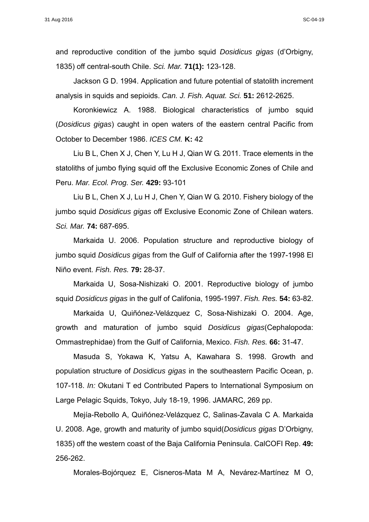and reproductive condition of the jumbo squid *Dosidicus gigas* (d'Orbigny, 1835) off central-south Chile. *Sci. Mar.* **71(1):** 123-128.

Jackson G D. 1994. Application and future potential of statolith increment analysis in squids and sepioids. *Can. J. Fish. Aquat. Sci.* **51:** 2612-2625.

Koronkiewicz A. 1988. Biological characteristics of jumbo squid (*Dosidicus gigas*) caught in open waters of the eastern central Pacific from October to December 1986. *ICES CM.* **K:** 42

Liu B L, Chen X J, Chen Y, Lu H J, Qian W G. 2011. Trace elements in the statoliths of jumbo flying squid off the Exclusive Economic Zones of Chile and Peru. *Mar. Ecol. Prog. Ser.* **429:** 93-101

Liu B L, Chen X J, Lu H J, Chen Y, Qian W G. 2010. Fishery biology of the jumbo squid *Dosidicus gigas* off Exclusive Economic Zone of Chilean waters. *Sci. Mar.* **74:** 687-695.

Markaida U. 2006. Population structure and reproductive biology of jumbo squid *Dosidicus gigas* from the Gulf of California after the 1997-1998 El Niño event. *Fish. Res.* **79:** 28-37.

Markaida U, Sosa-Nishizaki O. 2001. Reproductive biology of jumbo squid *Dosidicus gigas* in the gulf of Califonia, 1995-1997. *Fish. Res.* **54:** 63-82.

Markaida U, Quiñónez-Velázquez C, Sosa-Nishizaki O. 2004. Age, growth and maturation of jumbo squid *Dosidicus gigas*(Cephalopoda: Ommastrephidae) from the Gulf of California, Mexico. *Fish. Res.* **66:** 31-47.

Masuda S, Yokawa K, Yatsu A, Kawahara S. 1998. Growth and population structure of *Dosidicus gigas* in the southeastern Pacific Ocean, p. 107-118. *In:* Okutani T ed Contributed Papers to International Symposium on Large Pelagic Squids, Tokyo, July 18-19, 1996. JAMARC, 269 pp.

Mejía-Rebollo A, Quiñónez-Velázquez C, Salinas-Zavala C A. Markaida U. 2008. Age, growth and maturity of jumbo squid(*Dosidicus gigas* D'Orbigny, 1835) off the western coast of the Baja California Peninsula. CalCOFI Rep. **49:** 256-262.

Morales-Bojórquez E, Cisneros-Mata M A, Nevárez-Martínez M O,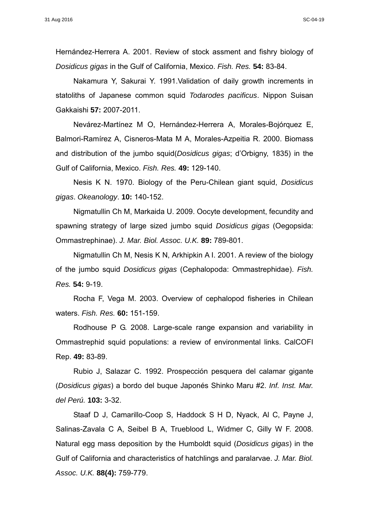Hernández-Herrera A. 2001. Review of stock assment and fishry biology of *Dosidicus gigas* in the Gulf of California, Mexico. *Fish. Res.* **54:** 83-84.

Nakamura Y, Sakurai Y. 1991.Validation of daily growth increments in statoliths of Japanese common squid *Todarodes pacificus*. Nippon Suisan Gakkaishi **57:** 2007-2011.

Nevárez-Martínez M O, Hernández-Herrera A, Morales-Bojórquez E, Balmori-Ramírez A, Cisneros-Mata M A, Morales-Azpeitia R. 2000. Biomass and distribution of the jumbo squid(*Dosidicus gigas*; d'Orbigny, 1835) in the Gulf of California, Mexico. *Fish. Res.* **49:** 129-140.

Nesis K N. 1970. Biology of the Peru-Chilean giant squid, *Dosidicus gigas*. *Okeanology*. **10:** 140-152.

Nigmatullin Ch M, Markaida U. 2009. Oocyte development, fecundity and spawning strategy of large sized jumbo squid *Dosidicus gigas* (Oegopsida: Ommastrephinae). *J. Mar. Biol. Assoc. U.K.* **89:** 789-801.

Nigmatullin Ch M, Nesis K N, Arkhipkin A I. 2001. A review of the biology of the jumbo squid *Dosidicus gigas* (Cephalopoda: Ommastrephidae). *Fish. Res.* **54:** 9-19.

Rocha F, Vega M. 2003. Overview of cephalopod fisheries in Chilean waters. *Fish. Res.* **60:** 151-159.

Rodhouse P G. 2008. Large-scale range expansion and variability in Ommastrephid squid populations: a review of environmental links. CalCOFI Rep. **49:** 83-89.

Rubio J, Salazar C. 1992. Prospección pesquera del calamar gigante (*Dosidicus gigas*) a bordo del buque Japonés Shinko Maru #2. *Inf. Inst. Mar. del Perú.* **103:** 3-32.

Staaf D J, Camarillo-Coop S, Haddock S H D, Nyack, Al C, Payne J, Salinas-Zavala C A, Seibel B A, Trueblood L, Widmer C, Gilly W F. 2008. Natural egg mass deposition by the Humboldt squid (*Dosidicus gigas*) in the Gulf of California and characteristics of hatchlings and paralarvae. *J. Mar. Biol. Assoc. U.K.* **88(4):** 759-779.